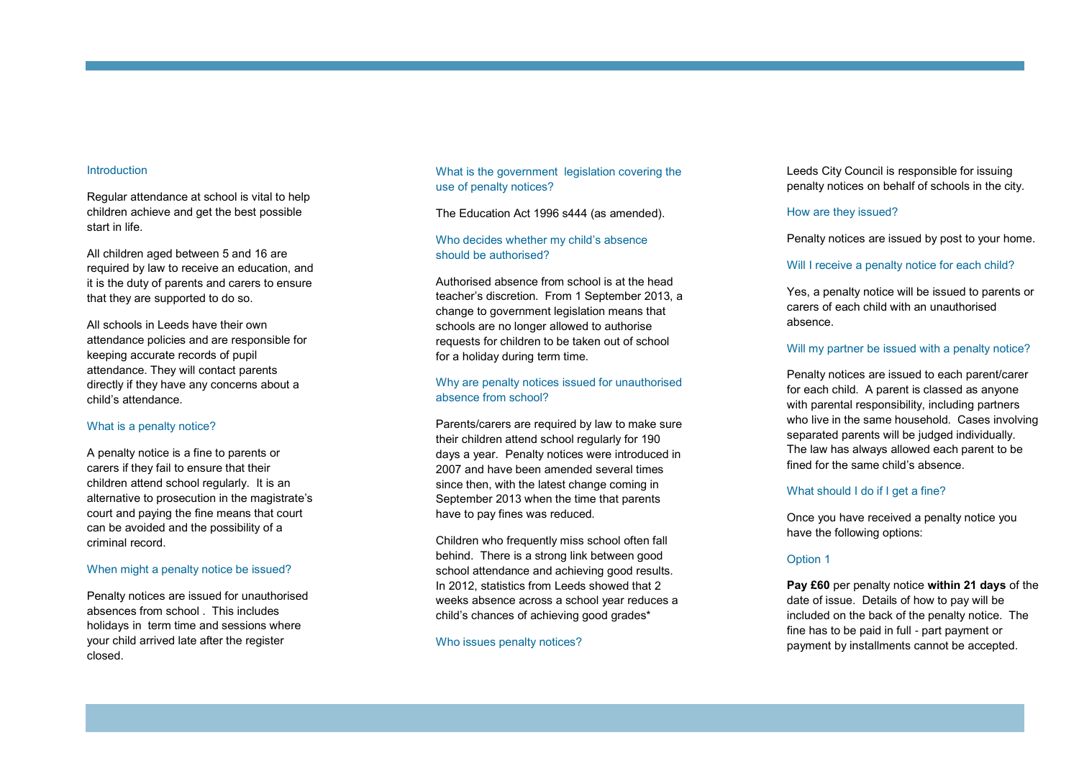#### **Introduction**

Regular attendance at school is vital to help children achieve and get the best possible start in life.

All children aged between 5 and 16 are required by law to receive an education, and it is the duty of parents and carers to ensure that they are supported to do so.

All schools in Leeds have their own attendance policies and are responsible for keeping accurate records of pupil attendance. They will contact parents directly if they have any concerns about a child 's attendance.

#### What is a penalty notice?

A penalty notice is a fine to parents or carers if they fail to ensure that their children attend school regularly. It is an alternative to prosecution in the magistrate 's court and paying the fine means that court can be avoided and the possibility of a criminal record.

# When might a penalty notice be issued?

Penalty notices are issued for unauthorised absences from school . This includes holidays in term time and sessions where your child arrived late after the register closed.

What is the government legislation covering the use of penalty notices?

The Education Act 1996 s444 (as amended).

# Who decides whether my child 's absence should be authorised?<br>Authorised absence from school is at the head

teacher 's discretion. From 1 September 2013, a change to government legislation means that schools are no longer allowed to authorise requests for children to be taken out of school for a holiday during term time.

# Why are penalty notices issued for unauthorised absence from school?

Parents/carers are required by law to make sure their children attend school regularly for 190 days a year. Penalty notices were introduced in 2007 and have been amended several times since then, with the latest change coming in September 2013 when the time that parents have to pay fines was reduced.

Children who frequently miss school often fall behind. There is a strong link between good school attendance and achieving good results. In 2012, statistics from Leeds showed that 2 weeks absence across a school year reduces a child 's chances of achieving good grades\*

Who issues penalty notices?

Leeds City Council is responsible for issuing penalty notices on behalf of schools in the city.

#### How are they issued?

Penalty notices are issued by post to your home.

#### Will I receive a penalty notice for each child?

Yes, a penalty notice will be issued to parents or carers of each child with an unauthorised absence.

# Will my partner be issued with a penalty notice?

Penalty notices are issued to each parent/carer for each child. A parent is classed as anyone with parental responsibility, including partners who live in the same household. Cases involving separated parents will be judged individually. The law has always allowed each parent to be fined for the same child 's absence.

#### What should I do if I get a fine?

Once you have received a penalty notice you have the following options:

#### Option 1

**Pay £60** per penalty notice **within 21 days** of the date of issue. Details of how to pay will be included on the back of the penalty notice. The fine has to be paid in full - part payment or payment by installments cannot be accepted.